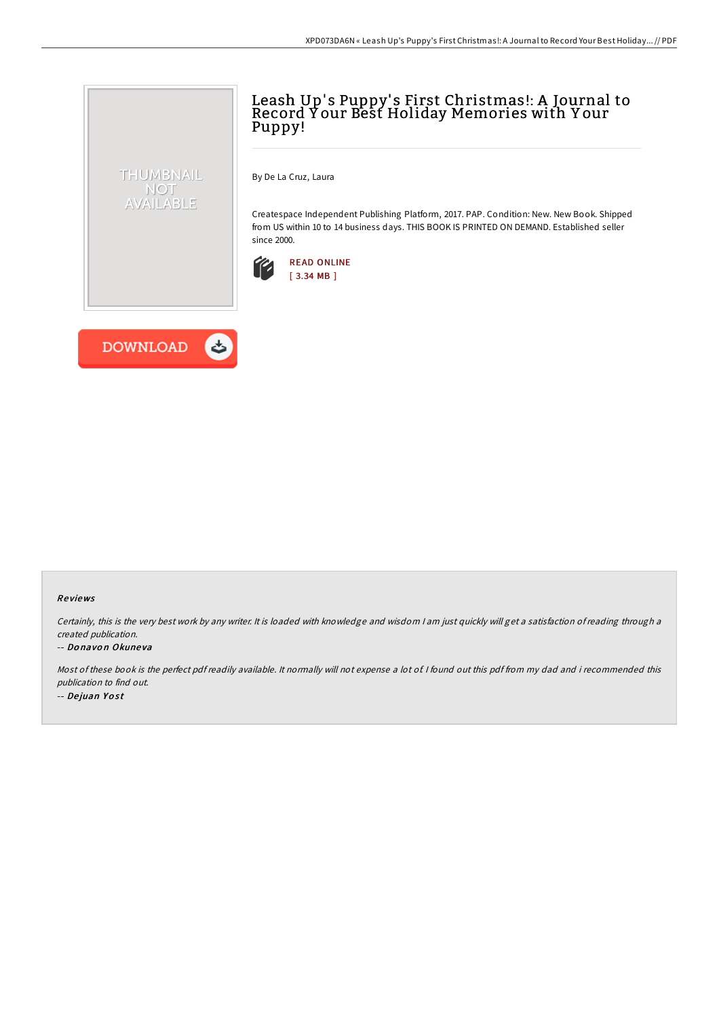## Leash Up's Puppy's First Christmas!: A Journal to Record Y our Best Holiday Memories with Y our Puppy!

By De La Cruz, Laura

Createspace Independent Publishing Platform, 2017. PAP. Condition: New. New Book. Shipped from US within 10 to 14 business days. THIS BOOK IS PRINTED ON DEMAND. Established seller since 2000.





THUMBNAIL NOT AVAILABLE

## Re views

Certainly, this is the very best work by any writer. It is loaded with knowledge and wisdom <sup>I</sup> am just quickly will get <sup>a</sup> satisfaction of reading through <sup>a</sup> created publication.

## -- Donavon Okuneva

Most of these book is the perfect pdf readily available. It normally will not expense a lot of. I found out this pdf from my dad and i recommended this publication to find out. -- Dejuan Yost